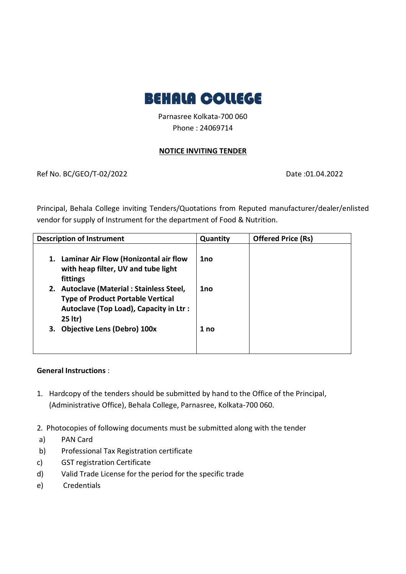

Parnasree Kolkata-700 060 Phone : 24069714

## **NOTICE INVITING TENDER**

Ref No. BC/GEO/T-02/2022 Date :01.04.2022

Principal, Behala College inviting Tenders/Quotations from Reputed manufacturer/dealer/enlisted vendor for supply of Instrument for the department of Food & Nutrition.

| <b>Description of Instrument</b>                                                                                                | Quantity        | <b>Offered Price (Rs)</b> |
|---------------------------------------------------------------------------------------------------------------------------------|-----------------|---------------------------|
| Laminar Air Flow (Honizontal air flow<br>1.<br>with heap filter, UV and tube light<br>fittings                                  | 1no             |                           |
| 2. Autoclave (Material: Stainless Steel,<br><b>Type of Product Portable Vertical</b><br>Autoclave (Top Load), Capacity in Ltr : | 1 <sub>no</sub> |                           |
| 25 ltr)<br><b>Objective Lens (Debro) 100x</b><br>З.                                                                             | 1 <sub>no</sub> |                           |

## **General Instructions** :

- 1. Hardcopy of the tenders should be submitted by hand to the Office of the Principal, (Administrative Office), Behala College, Parnasree, Kolkata-700 060.
- 2. Photocopies of following documents must be submitted along with the tender
- a) PAN Card
- b) Professional Tax Registration certificate
- c) GST registration Certificate
- d) Valid Trade License for the period for the specific trade
- e) Credentials